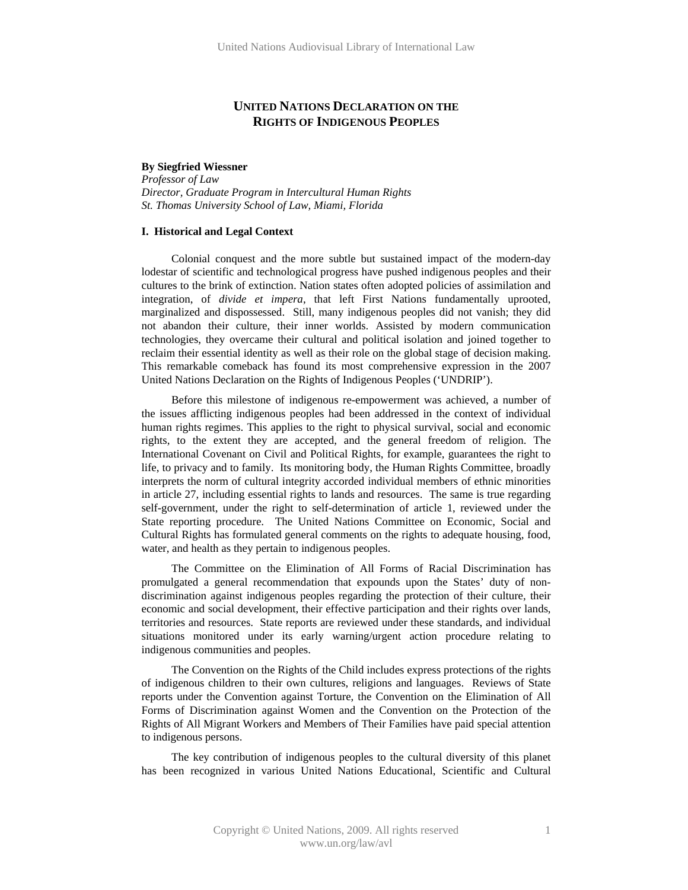# **UNITED NATIONS DECLARATION ON THE RIGHTS OF INDIGENOUS PEOPLES**

# **By Siegfried Wiessner**

*Professor of Law Director, Graduate Program in Intercultural Human Rights St. Thomas University School of Law, Miami, Florida* 

#### **I. Historical and Legal Context**

Colonial conquest and the more subtle but sustained impact of the modern-day lodestar of scientific and technological progress have pushed indigenous peoples and their cultures to the brink of extinction. Nation states often adopted policies of assimilation and integration, of *divide et impera*, that left First Nations fundamentally uprooted, marginalized and dispossessed. Still, many indigenous peoples did not vanish; they did not abandon their culture, their inner worlds. Assisted by modern communication technologies, they overcame their cultural and political isolation and joined together to reclaim their essential identity as well as their role on the global stage of decision making. This remarkable comeback has found its most comprehensive expression in the 2007 United Nations Declaration on the Rights of Indigenous Peoples ('UNDRIP').

Before this milestone of indigenous re-empowerment was achieved, a number of the issues afflicting indigenous peoples had been addressed in the context of individual human rights regimes. This applies to the right to physical survival, social and economic rights, to the extent they are accepted, and the general freedom of religion. The International Covenant on Civil and Political Rights, for example, guarantees the right to life, to privacy and to family. Its monitoring body, the Human Rights Committee, broadly interprets the norm of cultural integrity accorded individual members of ethnic minorities in article 27, including essential rights to lands and resources. The same is true regarding self-government, under the right to self-determination of article 1, reviewed under the State reporting procedure. The United Nations Committee on Economic, Social and Cultural Rights has formulated general comments on the rights to adequate housing, food, water, and health as they pertain to indigenous peoples.

The Committee on the Elimination of All Forms of Racial Discrimination has promulgated a general recommendation that expounds upon the States' duty of nondiscrimination against indigenous peoples regarding the protection of their culture, their economic and social development, their effective participation and their rights over lands, territories and resources. State reports are reviewed under these standards, and individual situations monitored under its early warning/urgent action procedure relating to indigenous communities and peoples.

The Convention on the Rights of the Child includes express protections of the rights of indigenous children to their own cultures, religions and languages. Reviews of State reports under the Convention against Torture, the Convention on the Elimination of All Forms of Discrimination against Women and the Convention on the Protection of the Rights of All Migrant Workers and Members of Their Families have paid special attention to indigenous persons.

The key contribution of indigenous peoples to the cultural diversity of this planet has been recognized in various United Nations Educational, Scientific and Cultural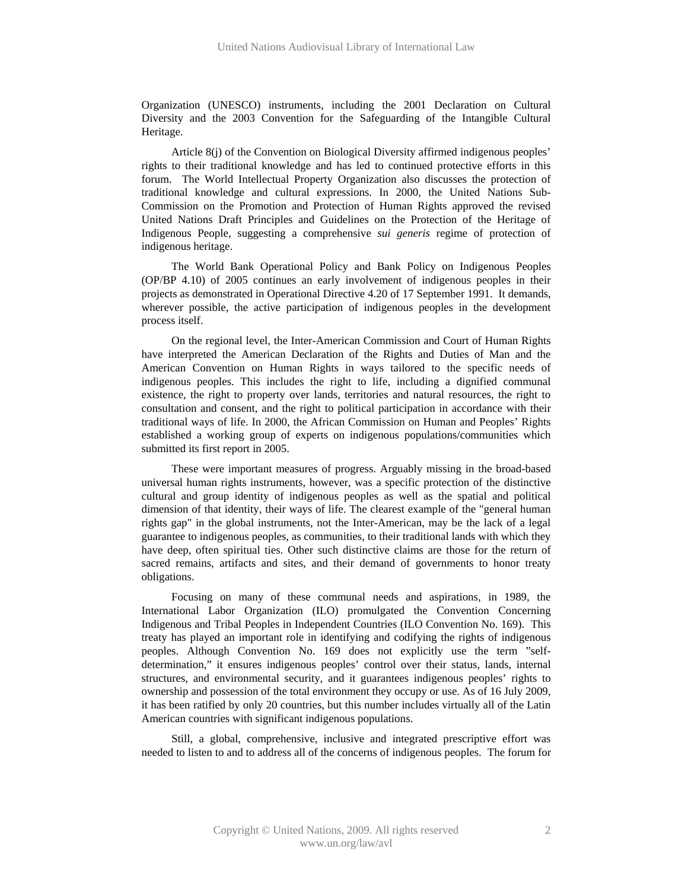Organization (UNESCO) instruments, including the 2001 Declaration on Cultural Diversity and the 2003 Convention for the Safeguarding of the Intangible Cultural Heritage.

Article 8(j) of the Convention on Biological Diversity affirmed indigenous peoples' rights to their traditional knowledge and has led to continued protective efforts in this forum. The World Intellectual Property Organization also discusses the protection of traditional knowledge and cultural expressions. In 2000, the United Nations Sub-Commission on the Promotion and Protection of Human Rights approved the revised United Nations Draft Principles and Guidelines on the Protection of the Heritage of Indigenous People, suggesting a comprehensive *sui generis* regime of protection of indigenous heritage.

The World Bank Operational Policy and Bank Policy on Indigenous Peoples (OP/BP 4.10) of 2005 continues an early involvement of indigenous peoples in their projects as demonstrated in Operational Directive 4.20 of 17 September 1991. It demands, wherever possible, the active participation of indigenous peoples in the development process itself.

On the regional level, the Inter-American Commission and Court of Human Rights have interpreted the American Declaration of the Rights and Duties of Man and the American Convention on Human Rights in ways tailored to the specific needs of indigenous peoples. This includes the right to life, including a dignified communal existence, the right to property over lands, territories and natural resources, the right to consultation and consent, and the right to political participation in accordance with their traditional ways of life. In 2000, the African Commission on Human and Peoples' Rights established a working group of experts on indigenous populations/communities which submitted its first report in 2005.

These were important measures of progress. Arguably missing in the broad-based universal human rights instruments, however, was a specific protection of the distinctive cultural and group identity of indigenous peoples as well as the spatial and political dimension of that identity, their ways of life. The clearest example of the "general human rights gap" in the global instruments, not the Inter-American, may be the lack of a legal guarantee to indigenous peoples, as communities, to their traditional lands with which they have deep, often spiritual ties. Other such distinctive claims are those for the return of sacred remains, artifacts and sites, and their demand of governments to honor treaty obligations.

Focusing on many of these communal needs and aspirations, in 1989, the International Labor Organization (ILO) promulgated the Convention Concerning Indigenous and Tribal Peoples in Independent Countries (ILO Convention No. 169). This treaty has played an important role in identifying and codifying the rights of indigenous peoples. Although Convention No. 169 does not explicitly use the term "selfdetermination," it ensures indigenous peoples' control over their status, lands, internal structures, and environmental security, and it guarantees indigenous peoples' rights to ownership and possession of the total environment they occupy or use. As of 16 July 2009, it has been ratified by only 20 countries, but this number includes virtually all of the Latin American countries with significant indigenous populations.

Still, a global, comprehensive, inclusive and integrated prescriptive effort was needed to listen to and to address all of the concerns of indigenous peoples. The forum for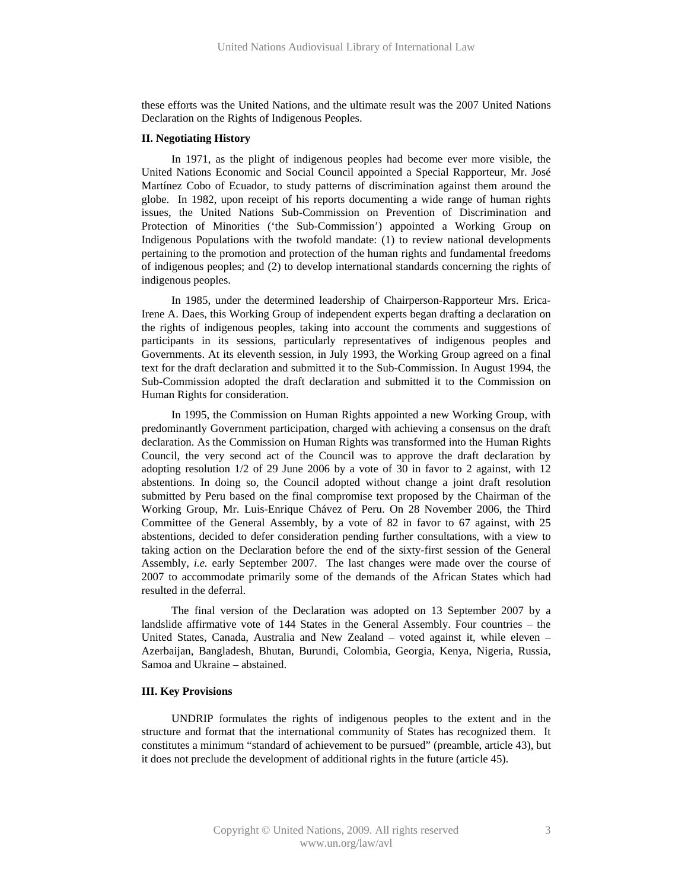these efforts was the United Nations, and the ultimate result was the 2007 United Nations Declaration on the Rights of Indigenous Peoples.

### **II. Negotiating History**

In 1971, as the plight of indigenous peoples had become ever more visible, the United Nations Economic and Social Council appointed a Special Rapporteur, Mr. José Martínez Cobo of Ecuador, to study patterns of discrimination against them around the globe. In 1982, upon receipt of his reports documenting a wide range of human rights issues, the United Nations Sub-Commission on Prevention of Discrimination and Protection of Minorities ('the Sub-Commission') appointed a Working Group on Indigenous Populations with the twofold mandate: (1) to review national developments pertaining to the promotion and protection of the human rights and fundamental freedoms of indigenous peoples; and (2) to develop international standards concerning the rights of indigenous peoples.

In 1985, under the determined leadership of Chairperson-Rapporteur Mrs. Erica-Irene A. Daes, this Working Group of independent experts began drafting a declaration on the rights of indigenous peoples, taking into account the comments and suggestions of participants in its sessions, particularly representatives of indigenous peoples and Governments. At its eleventh session, in July 1993, the Working Group agreed on a final text for the draft declaration and submitted it to the Sub-Commission. In August 1994, the Sub-Commission adopted the draft declaration and submitted it to the Commission on Human Rights for consideration.

In 1995, the Commission on Human Rights appointed a new Working Group, with predominantly Government participation, charged with achieving a consensus on the draft declaration. As the Commission on Human Rights was transformed into the Human Rights Council, the very second act of the Council was to approve the draft declaration by adopting resolution 1/2 of 29 June 2006 by a vote of 30 in favor to 2 against, with 12 abstentions. In doing so, the Council adopted without change a joint draft resolution submitted by Peru based on the final compromise text proposed by the Chairman of the Working Group, Mr. Luis-Enrique Chávez of Peru. On 28 November 2006, the Third Committee of the General Assembly, by a vote of 82 in favor to 67 against, with 25 abstentions, decided to defer consideration pending further consultations, with a view to taking action on the Declaration before the end of the sixty-first session of the General Assembly, *i.e.* early September 2007. The last changes were made over the course of 2007 to accommodate primarily some of the demands of the African States which had resulted in the deferral.

The final version of the Declaration was adopted on 13 September 2007 by a landslide affirmative vote of 144 States in the General Assembly. Four countries – the United States, Canada, Australia and New Zealand – voted against it, while eleven – Azerbaijan, Bangladesh, Bhutan, Burundi, Colombia, Georgia, Kenya, Nigeria, Russia, Samoa and Ukraine – abstained.

## **III. Key Provisions**

UNDRIP formulates the rights of indigenous peoples to the extent and in the structure and format that the international community of States has recognized them. It constitutes a minimum "standard of achievement to be pursued" (preamble, article 43), but it does not preclude the development of additional rights in the future (article 45).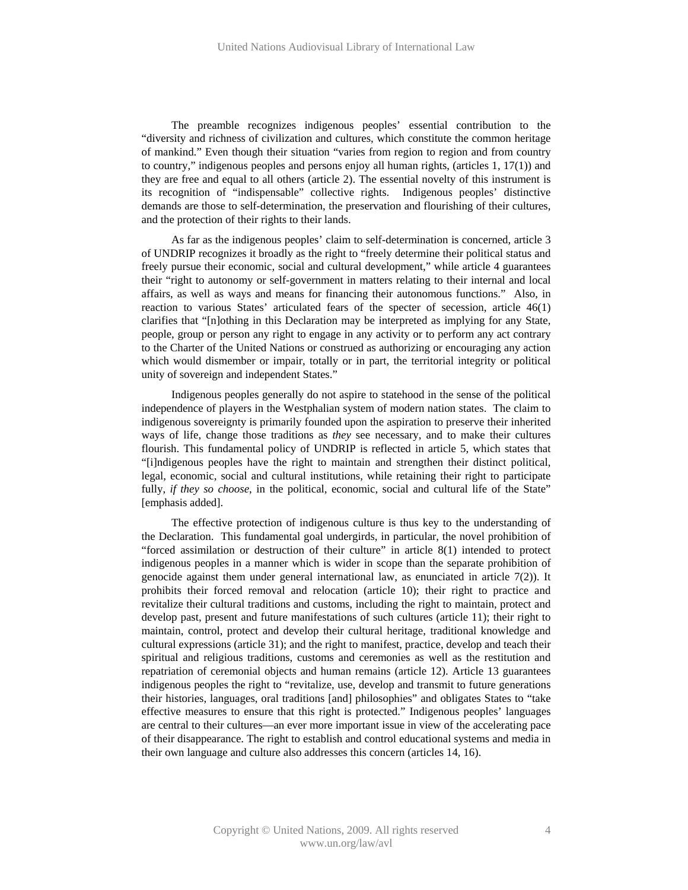The preamble recognizes indigenous peoples' essential contribution to the "diversity and richness of civilization and cultures, which constitute the common heritage of mankind." Even though their situation "varies from region to region and from country to country," indigenous peoples and persons enjoy all human rights, (articles 1, 17(1)) and they are free and equal to all others (article 2). The essential novelty of this instrument is its recognition of "indispensable" collective rights. Indigenous peoples' distinctive demands are those to self-determination, the preservation and flourishing of their cultures, and the protection of their rights to their lands.

As far as the indigenous peoples' claim to self-determination is concerned, article 3 of UNDRIP recognizes it broadly as the right to "freely determine their political status and freely pursue their economic, social and cultural development," while article 4 guarantees their "right to autonomy or self-government in matters relating to their internal and local affairs, as well as ways and means for financing their autonomous functions." Also, in reaction to various States' articulated fears of the specter of secession, article 46(1) clarifies that "[n]othing in this Declaration may be interpreted as implying for any State, people, group or person any right to engage in any activity or to perform any act contrary to the Charter of the United Nations or construed as authorizing or encouraging any action which would dismember or impair, totally or in part, the territorial integrity or political unity of sovereign and independent States."

Indigenous peoples generally do not aspire to statehood in the sense of the political independence of players in the Westphalian system of modern nation states. The claim to indigenous sovereignty is primarily founded upon the aspiration to preserve their inherited ways of life, change those traditions as *they* see necessary, and to make their cultures flourish. This fundamental policy of UNDRIP is reflected in article 5, which states that "[i]ndigenous peoples have the right to maintain and strengthen their distinct political, legal, economic, social and cultural institutions, while retaining their right to participate fully, *if they so choose*, in the political, economic, social and cultural life of the State" [emphasis added].

The effective protection of indigenous culture is thus key to the understanding of the Declaration. This fundamental goal undergirds, in particular, the novel prohibition of "forced assimilation or destruction of their culture" in article 8(1) intended to protect indigenous peoples in a manner which is wider in scope than the separate prohibition of genocide against them under general international law, as enunciated in article 7(2)). It prohibits their forced removal and relocation (article 10); their right to practice and revitalize their cultural traditions and customs, including the right to maintain, protect and develop past, present and future manifestations of such cultures (article 11); their right to maintain, control, protect and develop their cultural heritage, traditional knowledge and cultural expressions (article 31); and the right to manifest, practice, develop and teach their spiritual and religious traditions, customs and ceremonies as well as the restitution and repatriation of ceremonial objects and human remains (article 12). Article 13 guarantees indigenous peoples the right to "revitalize, use, develop and transmit to future generations their histories, languages, oral traditions [and] philosophies" and obligates States to "take effective measures to ensure that this right is protected." Indigenous peoples' languages are central to their cultures—an ever more important issue in view of the accelerating pace of their disappearance. The right to establish and control educational systems and media in their own language and culture also addresses this concern (articles 14, 16).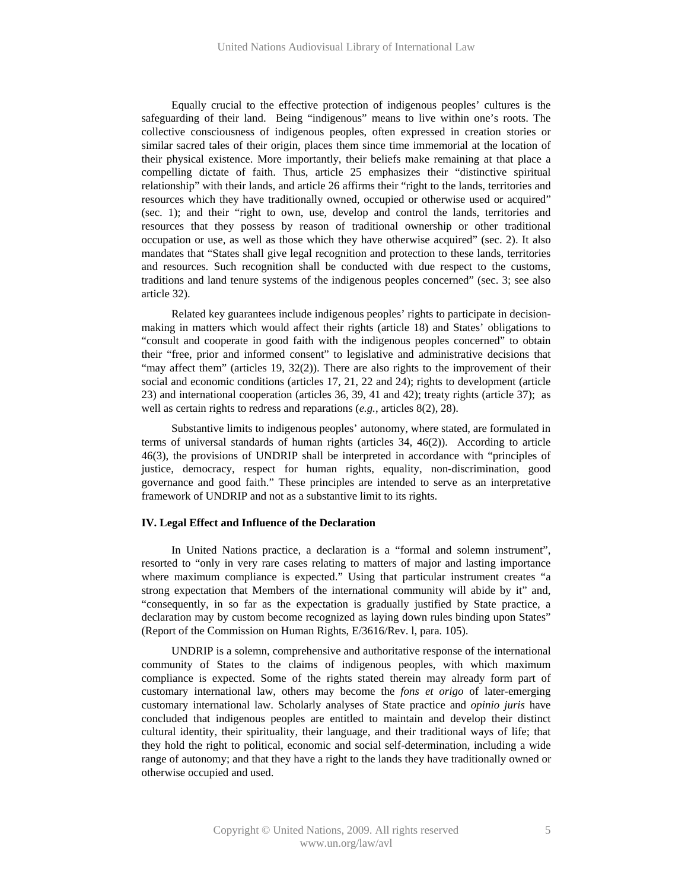Equally crucial to the effective protection of indigenous peoples' cultures is the safeguarding of their land. Being "indigenous" means to live within one's roots. The collective consciousness of indigenous peoples, often expressed in creation stories or similar sacred tales of their origin, places them since time immemorial at the location of their physical existence. More importantly, their beliefs make remaining at that place a compelling dictate of faith. Thus, article 25 emphasizes their "distinctive spiritual relationship" with their lands, and article 26 affirms their "right to the lands, territories and resources which they have traditionally owned, occupied or otherwise used or acquired" (sec. 1); and their "right to own, use, develop and control the lands, territories and resources that they possess by reason of traditional ownership or other traditional occupation or use, as well as those which they have otherwise acquired" (sec. 2). It also mandates that "States shall give legal recognition and protection to these lands, territories and resources. Such recognition shall be conducted with due respect to the customs, traditions and land tenure systems of the indigenous peoples concerned" (sec. 3; see also article 32).

Related key guarantees include indigenous peoples' rights to participate in decisionmaking in matters which would affect their rights (article 18) and States' obligations to "consult and cooperate in good faith with the indigenous peoples concerned" to obtain their "free, prior and informed consent" to legislative and administrative decisions that "may affect them" (articles  $19, 32(2)$ ). There are also rights to the improvement of their social and economic conditions (articles 17, 21, 22 and 24); rights to development (article 23) and international cooperation (articles 36, 39, 41 and 42); treaty rights (article 37); as well as certain rights to redress and reparations (*e.g.*, articles 8(2), 28).

Substantive limits to indigenous peoples' autonomy, where stated, are formulated in terms of universal standards of human rights (articles 34, 46(2)). According to article 46(3), the provisions of UNDRIP shall be interpreted in accordance with "principles of justice, democracy, respect for human rights, equality, non-discrimination, good governance and good faith." These principles are intended to serve as an interpretative framework of UNDRIP and not as a substantive limit to its rights.

#### **IV. Legal Effect and Influence of the Declaration**

In United Nations practice, a declaration is a "formal and solemn instrument", resorted to "only in very rare cases relating to matters of major and lasting importance where maximum compliance is expected." Using that particular instrument creates "a strong expectation that Members of the international community will abide by it" and, "consequently, in so far as the expectation is gradually justified by State practice, a declaration may by custom become recognized as laying down rules binding upon States" (Report of the Commission on Human Rights, E/3616/Rev. l, para. 105).

UNDRIP is a solemn, comprehensive and authoritative response of the international community of States to the claims of indigenous peoples, with which maximum compliance is expected. Some of the rights stated therein may already form part of customary international law, others may become the *fons et origo* of later-emerging customary international law. Scholarly analyses of State practice and *opinio juris* have concluded that indigenous peoples are entitled to maintain and develop their distinct cultural identity, their spirituality, their language, and their traditional ways of life; that they hold the right to political, economic and social self-determination, including a wide range of autonomy; and that they have a right to the lands they have traditionally owned or otherwise occupied and used.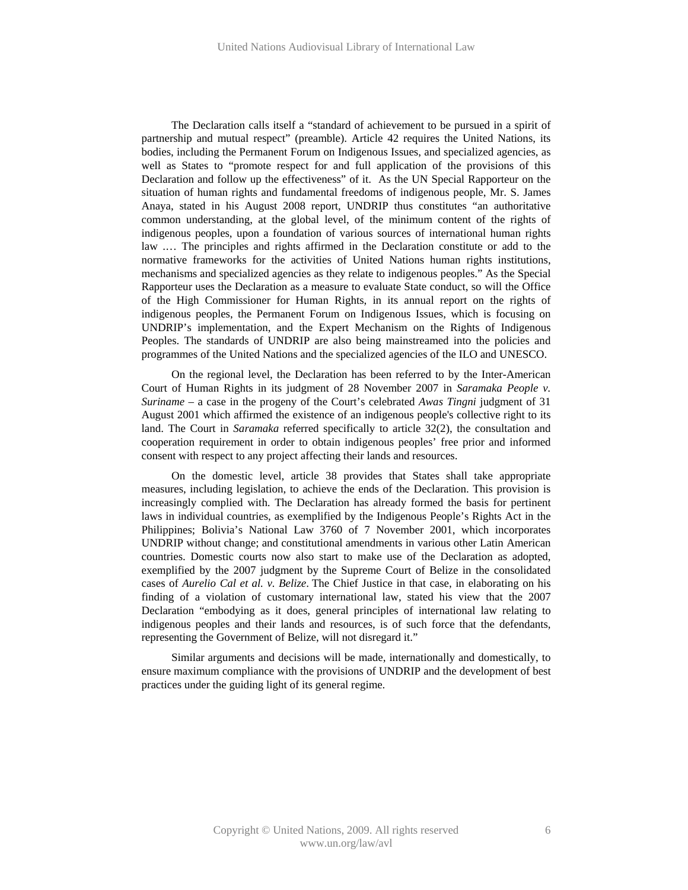The Declaration calls itself a "standard of achievement to be pursued in a spirit of partnership and mutual respect" (preamble). Article 42 requires the United Nations, its bodies, including the Permanent Forum on Indigenous Issues, and specialized agencies, as well as States to "promote respect for and full application of the provisions of this Declaration and follow up the effectiveness" of it. As the UN Special Rapporteur on the situation of human rights and fundamental freedoms of indigenous people, Mr. S. James Anaya, stated in his August 2008 report, UNDRIP thus constitutes "an authoritative common understanding, at the global level, of the minimum content of the rights of indigenous peoples, upon a foundation of various sources of international human rights law .… The principles and rights affirmed in the Declaration constitute or add to the normative frameworks for the activities of United Nations human rights institutions, mechanisms and specialized agencies as they relate to indigenous peoples." As the Special Rapporteur uses the Declaration as a measure to evaluate State conduct, so will the Office of the High Commissioner for Human Rights, in its annual report on the rights of indigenous peoples, the Permanent Forum on Indigenous Issues, which is focusing on UNDRIP's implementation, and the Expert Mechanism on the Rights of Indigenous Peoples. The standards of UNDRIP are also being mainstreamed into the policies and programmes of the United Nations and the specialized agencies of the ILO and UNESCO.

On the regional level, the Declaration has been referred to by the Inter-American Court of Human Rights in its judgment of 28 November 2007 in *Saramaka People v. Suriname* – a case in the progeny of the Court's celebrated *Awas Tingni* judgment of 31 August 2001 which affirmed the existence of an indigenous people's collective right to its land. The Court in *Saramaka* referred specifically to article 32(2), the consultation and cooperation requirement in order to obtain indigenous peoples' free prior and informed consent with respect to any project affecting their lands and resources.

On the domestic level, article 38 provides that States shall take appropriate measures, including legislation, to achieve the ends of the Declaration. This provision is increasingly complied with. The Declaration has already formed the basis for pertinent laws in individual countries, as exemplified by the Indigenous People's Rights Act in the Philippines; Bolivia's National Law 3760 of 7 November 2001, which incorporates UNDRIP without change; and constitutional amendments in various other Latin American countries. Domestic courts now also start to make use of the Declaration as adopted, exemplified by the 2007 judgment by the Supreme Court of Belize in the consolidated cases of *Aurelio Cal et al. v. Belize*. The Chief Justice in that case, in elaborating on his finding of a violation of customary international law, stated his view that the 2007 Declaration "embodying as it does, general principles of international law relating to indigenous peoples and their lands and resources, is of such force that the defendants, representing the Government of Belize, will not disregard it."

Similar arguments and decisions will be made, internationally and domestically, to ensure maximum compliance with the provisions of UNDRIP and the development of best practices under the guiding light of its general regime.